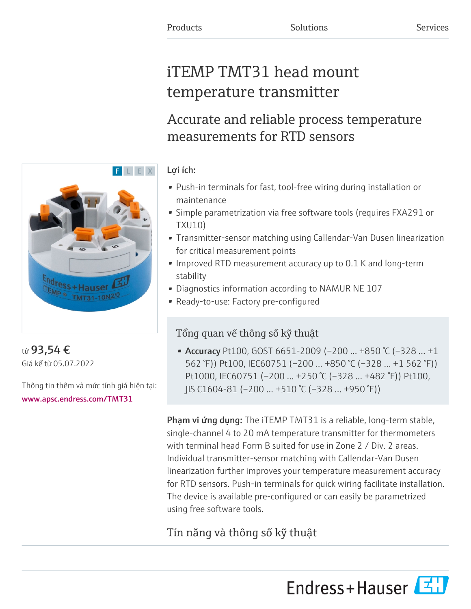# iTEMP TMT31 head mount temperature transmitter

## Accurate and reliable process temperature measurements for RTD sensors

### Lợi ích:

- Push-in terminals for fast, tool-free wiring during installation or maintenance
- Simple parametrization via free software tools (requires FXA291 or TXU10)
- Transmitter-sensor matching using Callendar-Van Dusen linearization for critical measurement points
- Improved RTD measurement accuracy up to 0.1 K and long-term stability
- Diagnostics information according to NAMUR NE 107
- Ready-to-use: Factory pre-configured

### Tổng quan về thông số kỹ thuật

• Accuracy Pt100, GOST 6651-2009 (-200 ... +850 °C (-328 ... +1 562 °F)) Pt100, IEC60751 (–200 … +850 °C (–328 … +1 562 °F)) Pt1000, IEC60751 (–200 … +250 °C (–328 … +482 °F)) Pt100, JIS C1604-81 (–200 … +510 °C (–328 … +950 °F))

Phạm vi ứng dụng: The iTEMP TMT31 is a reliable, long-term stable, single-channel 4 to 20 mA temperature transmitter for thermometers with terminal head Form B suited for use in Zone 2 / Div. 2 areas. Individual transmitter-sensor matching with Callendar-Van Dusen linearization further improves your temperature measurement accuracy for RTD sensors. Push-in terminals for quick wiring facilitate installation. The device is available pre-configured or can easily be parametrized using free software tools.

### Tín năng và thông số kỹ thuật





từ 93,54 € Giá kể từ 05.07.2022

Thông tin thêm và mức tính giá hiện tại: [www.apsc.endress.com/TMT31](https://www.apsc.endress.com/TMT31)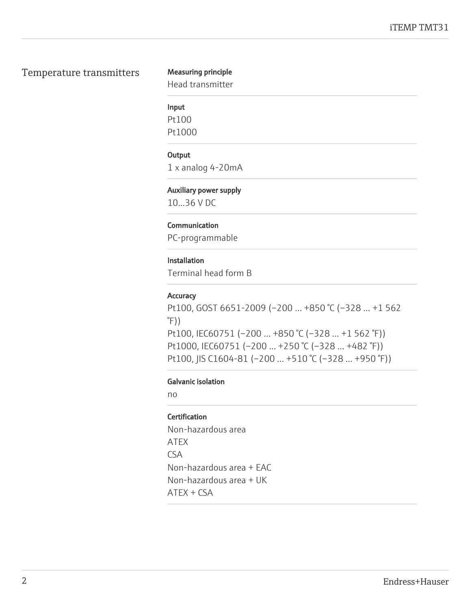#### Temperature transmitters Measuring principle

Head transmitter

#### Input

Pt100 Pt1000

#### **Output**

1 x analog 4-20mA

#### Auxiliary power supply

10...36 V DC

#### Communication

PC-programmable

#### Installation

Terminal head form B

#### **Accuracy**

Pt100, GOST 6651-2009 (–200 … +850 °C (–328 … +1 562  $\degree$ F)) Pt100, IEC60751 (–200 … +850 °C (–328 … +1 562 °F)) Pt1000, IEC60751 (–200 … +250 °C (–328 … +482 °F)) Pt100, JIS C1604-81 (–200 … +510 °C (–328 … +950 °F))

#### Galvanic isolation

no

#### **Certification**

Non-hazardous area ATEX CSA Non-hazardous area + EAC Non-hazardous area + UK ATEX + CSA